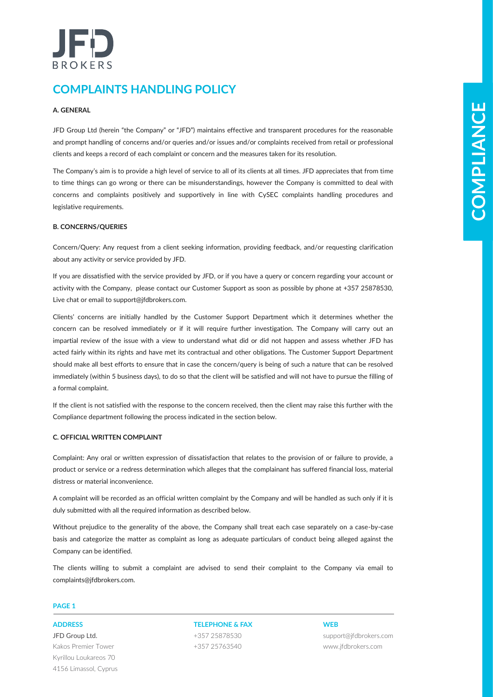# BROKERS

# **COMPLAINTS HANDLING POLICY**

# **A. GENERAL**

JFD Group Ltd (herein "the Company" or "JFD") maintains effective and transparent procedures for the reasonable and prompt handling of concerns and/or queries and/or issues and/or complaints received from retail or professional clients and keeps a record of each complaint or concern and the measures taken for its resolution.

The Company's aim is to provide a high level of service to all of its clients at all times. JFD appreciates that from time to time things can go wrong or there can be misunderstandings, however the Company is committed to deal with concerns and complaints positively and supportively in line with CySEC complaints handling procedures and legislative requirements.

## **B. CONCERNS/QUERIES**

Concern/Query: Any request from a client seeking information, providing feedback, and/or requesting clarification about any activity or service provided by JFD.

If you are dissatisfied with the service provided by JFD, or if you have a query or concern regarding your account or activity with the Company, please contact our Customer Support as soon as possible by phone at +357 25878530, Live chat or email to support@jfdbrokers.com.

A CRIMINAL the means the Company or 2010 minimize member online member and the mean procedure in the mean of the mean of the mean of the mean of the mean of the mean of the mean of the mean of the mean of the mean of the m Clients' concerns are initially handled by the Customer Support Department which it determines whether the concern can be resolved immediately or if it will require further investigation. The Company will carry out an impartial review of the issue with a view to understand what did or did not happen and assess whether JFD has acted fairly within its rights and have met its contractual and other obligations. The Customer Support Department should make all best efforts to ensure that in case the concern/query is being of such a nature that can be resolved immediately (within 5 business days), to do so that the client will be satisfied and will not have to pursue the filling of a formal complaint.

If the client is not satisfied with the response to the concern received, then the client may raise this further with the Compliance department following the process indicated in the section below.

## **C. OFFICIAL WRITTEN COMPLAINT**

Complaint: Any oral or written expression of dissatisfaction that relates to the provision of or failure to provide, a product or service or a redress determination which alleges that the complainant has suffered financial loss, material distress or material inconvenience.

A complaint will be recorded as an official written complaint by the Company and will be handled as such only if it is duly submitted with all the required information as described below.

Without prejudice to the generality of the above, the Company shall treat each case separately on a case-by-case basis and categorize the matter as complaint as long as adequate particulars of conduct being alleged against the Company can be identified.

The clients willing to submit a complaint are advised to send their complaint to the Company via email to complaints@jfdbrokers.com.

## **PAGE 1**

JFD Group Ltd. Kakos Premier Tower Kyrillou Loukareos 70 4156 Limassol, Cyprus

**ADDRESS TELEPHONE & FAX WEB** +357 25878530 +357 25763540

support@jfdbrokers.com www.jfdbrokers.com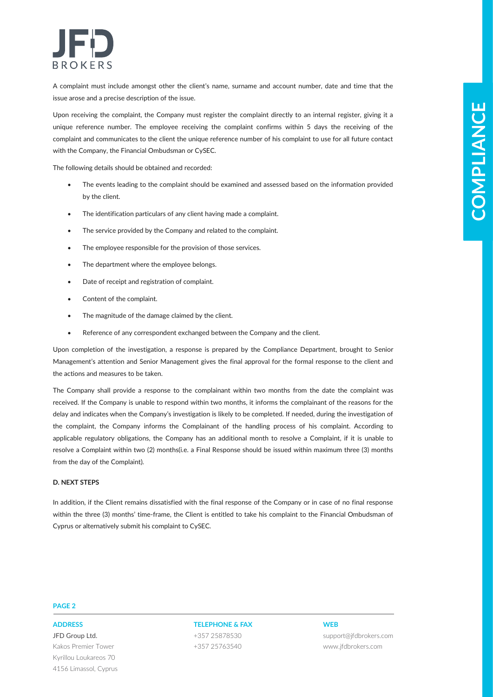

A complaint must include amongst other the client's name, surname and account number, date and time that the issue arose and a precise description of the issue.

Upon receiving the complaint, the Company must register the complaint directly to an internal register, giving it a unique reference number. The employee receiving the complaint confirms within 5 days the receiving of the complaint and communicates to the client the unique reference number of his complaint to use for all future contact with the Company, the Financial Ombudsman or CySEC.

The following details should be obtained and recorded:

- The events leading to the complaint should be examined and assessed based on the information provided by the client.
- The identification particulars of any client having made a complaint.
- The service provided by the Company and related to the complaint.
- The employee responsible for the provision of those services.
- The department where the employee belongs.
- Date of receipt and registration of complaint.
- Content of the complaint.
- The magnitude of the damage claimed by the client.
- Reference of any correspondent exchanged between the Company and the client.

Upon completion of the investigation, a response is prepared by the Compliance Department, brought to Senior Management's attention and Senior Management gives the final approval for the formal response to the client and the actions and measures to be taken.

Licenseia of the complete the Company control and the locaustic filled the sign is a change into the company control and the company of the company of the company of the company of the company of the company of the compan The Company shall provide a response to the complainant within two months from the date the complaint was received. If the Company is unable to respond within two months, it informs the complainant of the reasons for the delay and indicates when the Company's investigation is likely to be completed. If needed, during the investigation of the complaint, the Company informs the Complainant of the handling process of his complaint. According to applicable regulatory obligations, the Company has an additional month to resolve a Complaint, if it is unable to resolve a Complaint within two (2) months(i.e. a Final Response should be issued within maximum three (3) months from the day of the Complaint).

### **D. NEXT STEPS**

In addition, if the Client remains dissatisfied with the final response of the Company or in case of no final response within the three (3) months' time-frame, the Client is entitled to take his complaint to the Financial Ombudsman of Cyprus or alternatively submit his complaint to CySEC.

### **PAGE 2**

JFD Group Ltd. Kakos Premier Tower Kyrillou Loukareos 70 4156 Limassol, Cyprus

# **ADDRESS TELEPHONE & FAX WEB** +357 25878530 +357 25763540

support@jfdbrokers.com www.jfdbrokers.com